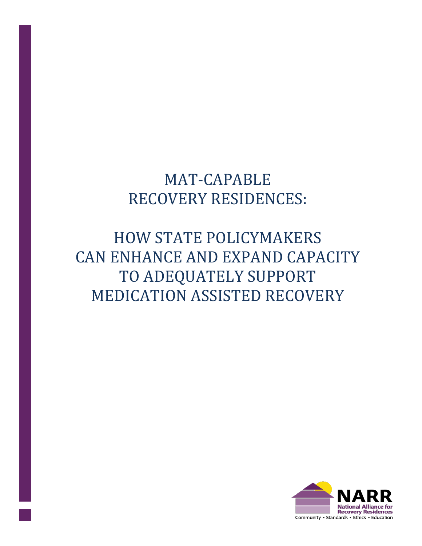# MAT-CAPABLE RECOVERY RESIDENCES:

# HOW STATE POLICYMAKERS CAN ENHANCE AND EXPAND CAPACITY TO ADEQUATELY SUPPORT MEDICATION ASSISTED RECOVERY

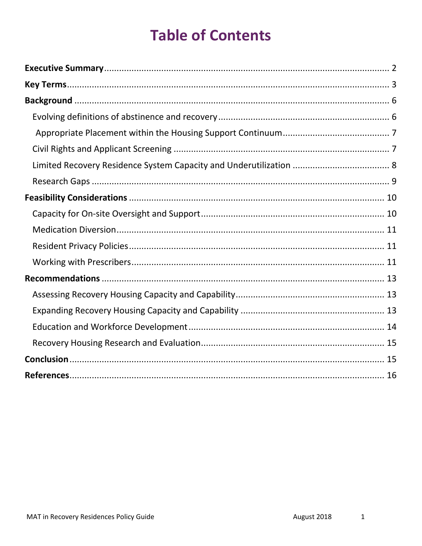# **Table of Contents**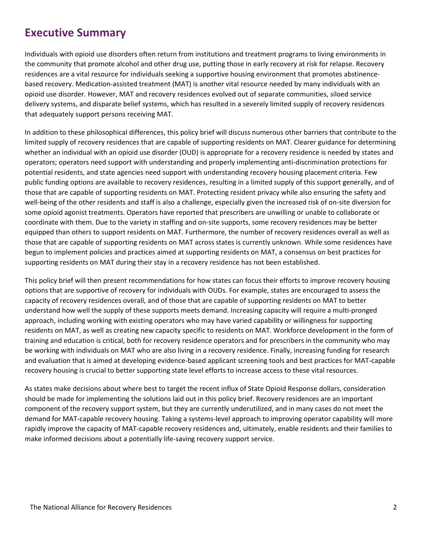## <span id="page-2-0"></span>**Executive Summary**

Individuals with opioid use disorders often return from institutions and treatment programs to living environments in the community that promote alcohol and other drug use, putting those in early recovery at risk for relapse. Recovery residences are a vital resource for individuals seeking a supportive housing environment that promotes abstinencebased recovery. Medication-assisted treatment (MAT) is another vital resource needed by many individuals with an opioid use disorder. However, MAT and recovery residences evolved out of separate communities, siloed service delivery systems, and disparate belief systems, which has resulted in a severely limited supply of recovery residences that adequately support persons receiving MAT.

In addition to these philosophical differences, this policy brief will discuss numerous other barriers that contribute to the limited supply of recovery residences that are capable of supporting residents on MAT. Clearer guidance for determining whether an individual with an opioid use disorder (OUD) is appropriate for a recovery residence is needed by states and operators; operators need support with understanding and properly implementing anti-discrimination protections for potential residents, and state agencies need support with understanding recovery housing placement criteria. Few public funding options are available to recovery residences, resulting in a limited supply of this support generally, and of those that are capable of supporting residents on MAT. Protecting resident privacy while also ensuring the safety and well-being of the other residents and staff is also a challenge, especially given the increased risk of on-site diversion for some opioid agonist treatments. Operators have reported that prescribers are unwilling or unable to collaborate or coordinate with them. Due to the variety in staffing and on-site supports, some recovery residences may be better equipped than others to support residents on MAT. Furthermore, the number of recovery residences overall as well as those that are capable of supporting residents on MAT across states is currently unknown. While some residences have begun to implement policies and practices aimed at supporting residents on MAT, a consensus on best practices for supporting residents on MAT during their stay in a recovery residence has not been established.

This policy brief will then present recommendations for how states can focus their efforts to improve recovery housing options that are supportive of recovery for individuals with OUDs. For example, states are encouraged to assess the capacity of recovery residences overall, and of those that are capable of supporting residents on MAT to better understand how well the supply of these supports meets demand. Increasing capacity will require a multi-pronged approach, including working with existing operators who may have varied capability or willingness for supporting residents on MAT, as well as creating new capacity specific to residents on MAT. Workforce development in the form of training and education is critical, both for recovery residence operators and for prescribers in the community who may be working with individuals on MAT who are also living in a recovery residence. Finally, increasing funding for research and evaluation that is aimed at developing evidence-based applicant screening tools and best practices for MAT-capable recovery housing is crucial to better supporting state level efforts to increase access to these vital resources.

As states make decisions about where best to target the recent influx of State Opioid Response dollars, consideration should be made for implementing the solutions laid out in this policy brief. Recovery residences are an important component of the recovery support system, but they are currently underutilized, and in many cases do not meet the demand for MAT-capable recovery housing. Taking a systems-level approach to improving operator capability will more rapidly improve the capacity of MAT-capable recovery residences and, ultimately, enable residents and their families to make informed decisions about a potentially life-saving recovery support service.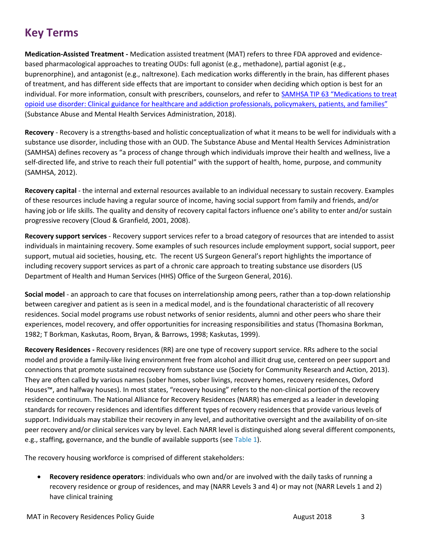# <span id="page-3-0"></span>**Key Terms**

**Medication-Assisted Treatment -** Medication assisted treatment (MAT) refers to three FDA approved and evidencebased pharmacological approaches to treating OUDs: full agonist (e.g., methadone), partial agonist (e.g., buprenorphine), and antagonist (e.g., naltrexone). Each medication works differently in the brain, has different phases of treatment, and has different side effects that are important to consider when deciding which option is best for an individual. For more information, consult with prescribers, counselors, and refer to [SAMHSA TIP 63 "Medications to treat](https://store.samhsa.gov/shin/content/SMA18-5063FULLDOC/SMA18-5063FULLDOC.pdf)  [opioid use disorder: Clinical guidance for healthcare and addiction professionals, policymakers, patients, and families"](https://store.samhsa.gov/shin/content/SMA18-5063FULLDOC/SMA18-5063FULLDOC.pdf) (Substance Abuse and Mental Health Services Administration, 2018).

**Recovery** - Recovery is a strengths-based and holistic conceptualization of what it means to be well for individuals with a substance use disorder, including those with an OUD. The Substance Abuse and Mental Health Services Administration (SAMHSA) defines recovery as "a process of change through which individuals improve their health and wellness, live a self-directed life, and strive to reach their full potential" with the support of health, home, purpose, and community (SAMHSA, 2012).

**Recovery capital** - the internal and external resources available to an individual necessary to sustain recovery. Examples of these resources include having a regular source of income, having social support from family and friends, and/or having job or life skills. The quality and density of recovery capital factors influence one's ability to enter and/or sustain progressive recovery (Cloud & Granfield, 2001, 2008).

**Recovery support services** - Recovery support services refer to a broad category of resources that are intended to assist individuals in maintaining recovery. Some examples of such resources include employment support, social support, peer support, mutual aid societies, housing, etc. The recent US Surgeon General's report highlights the importance of including recovery support services as part of a chronic care approach to treating substance use disorders (US Department of Health and Human Services (HHS) Office of the Surgeon General, 2016).

**Social model** - an approach to care that focuses on interrelationship among peers, rather than a top-down relationship between caregiver and patient as is seen in a medical model, and is the foundational characteristic of all recovery residences. Social model programs use robust networks of senior residents, alumni and other peers who share their experiences, model recovery, and offer opportunities for increasing responsibilities and status (Thomasina Borkman, 1982; T Borkman, Kaskutas, Room, Bryan, & Barrows, 1998; Kaskutas, 1999).

**Recovery Residences -** Recovery residences (RR) are one type of recovery support service. RRs adhere to the social model and provide a family-like living environment free from alcohol and illicit drug use, centered on peer support and connections that promote sustained recovery from substance use (Society for Community Research and Action, 2013). They are often called by various names (sober homes, sober livings, recovery homes, recovery residences, Oxford Houses™, and halfway houses). In most states, "recovery housing" refers to the non-clinical portion of the recovery residence continuum. The National Alliance for Recovery Residences (NARR) has emerged as a leader in developing standards for recovery residences and identifies different types of recovery residences that provide various levels of support. Individuals may stabilize their recovery in any level, and authoritative oversight and the availability of on-site peer recovery and/or clinical services vary by level. Each NARR level is distinguished along several different components, e.g., staffing, governance, and the bundle of available supports (se[e Table 1\)](#page-4-0).

The recovery housing workforce is comprised of different stakeholders:

• **Recovery residence operators**: individuals who own and/or are involved with the daily tasks of running a recovery residence or group of residences, and may (NARR Levels 3 and 4) or may not (NARR Levels 1 and 2) have clinical training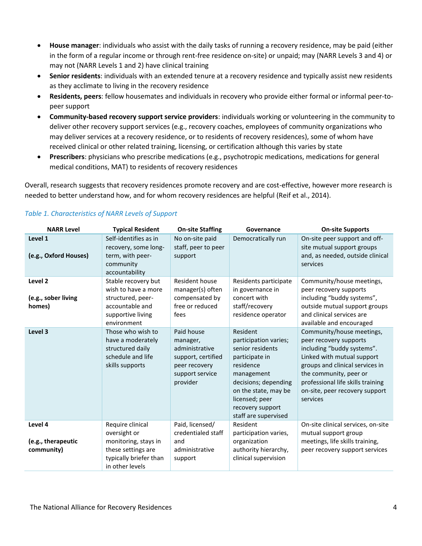- **House manager**: individuals who assist with the daily tasks of running a recovery residence, may be paid (either in the form of a regular income or through rent-free residence on-site) or unpaid; may (NARR Levels 3 and 4) or may not (NARR Levels 1 and 2) have clinical training
- **Senior residents**: individuals with an extended tenure at a recovery residence and typically assist new residents as they acclimate to living in the recovery residence
- **Residents, peers**: fellow housemates and individuals in recovery who provide either formal or informal peer-topeer support
- **Community-based recovery support service providers**: individuals working or volunteering in the community to deliver other recovery support services (e.g., recovery coaches, employees of community organizations who may deliver services at a recovery residence, or to residents of recovery residences), some of whom have received clinical or other related training, licensing, or certification although this varies by state
- **Prescribers**: physicians who prescribe medications (e.g., psychotropic medications, medications for general medical conditions, MAT) to residents of recovery residences

Overall, research suggests that recovery residences promote recovery and are cost-effective, however more research is needed to better understand how, and for whom recovery residences are helpful (Reif et al., 2014).

| <b>NARR Level</b>                           | <b>Typical Resident</b>                                                                                                     | <b>On-site Staffing</b>                                                                                        | Governance                                                                                                                                                                                                       | <b>On-site Supports</b>                                                                                                                                                                                                                                         |
|---------------------------------------------|-----------------------------------------------------------------------------------------------------------------------------|----------------------------------------------------------------------------------------------------------------|------------------------------------------------------------------------------------------------------------------------------------------------------------------------------------------------------------------|-----------------------------------------------------------------------------------------------------------------------------------------------------------------------------------------------------------------------------------------------------------------|
| Level 1<br>(e.g., Oxford Houses)            | Self-identifies as in<br>recovery, some long-<br>term, with peer-<br>community<br>accountability                            | No on-site paid<br>staff, peer to peer<br>support                                                              | Democratically run                                                                                                                                                                                               | On-site peer support and off-<br>site mutual support groups<br>and, as needed, outside clinical<br>services                                                                                                                                                     |
| Level 2<br>(e.g., sober living<br>homes)    | Stable recovery but<br>wish to have a more<br>structured, peer-<br>accountable and<br>supportive living<br>environment      | Resident house<br>manager(s) often<br>compensated by<br>free or reduced<br>fees                                | Residents participate<br>in governance in<br>concert with<br>staff/recovery<br>residence operator                                                                                                                | Community/house meetings,<br>peer recovery supports<br>including "buddy systems",<br>outside mutual support groups<br>and clinical services are<br>available and encouraged                                                                                     |
| Level 3                                     | Those who wish to<br>have a moderately<br>structured daily<br>schedule and life<br>skills supports                          | Paid house<br>manager,<br>administrative<br>support, certified<br>peer recovery<br>support service<br>provider | Resident<br>participation varies;<br>senior residents<br>participate in<br>residence<br>management<br>decisions; depending<br>on the state, may be<br>licensed; peer<br>recovery support<br>staff are supervised | Community/house meetings,<br>peer recovery supports<br>including "buddy systems".<br>Linked with mutual support<br>groups and clinical services in<br>the community, peer or<br>professional life skills training<br>on-site, peer recovery support<br>services |
| Level 4<br>(e.g., therapeutic<br>community) | Require clinical<br>oversight or<br>monitoring, stays in<br>these settings are<br>typically briefer than<br>in other levels | Paid, licensed/<br>credentialed staff<br>and<br>administrative<br>support                                      | Resident<br>participation varies,<br>organization<br>authority hierarchy,<br>clinical supervision                                                                                                                | On-site clinical services, on-site<br>mutual support group<br>meetings, life skills training,<br>peer recovery support services                                                                                                                                 |

#### <span id="page-4-0"></span>*Table 1. Characteristics of NARR Levels of Support*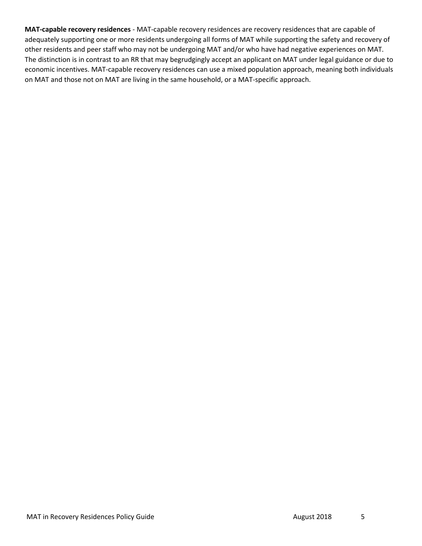**MAT-capable recovery residences** - MAT-capable recovery residences are recovery residences that are capable of adequately supporting one or more residents undergoing all forms of MAT while supporting the safety and recovery of other residents and peer staff who may not be undergoing MAT and/or who have had negative experiences on MAT. The distinction is in contrast to an RR that may begrudgingly accept an applicant on MAT under legal guidance or due to economic incentives. MAT-capable recovery residences can use a mixed population approach, meaning both individuals on MAT and those not on MAT are living in the same household, or a MAT-specific approach.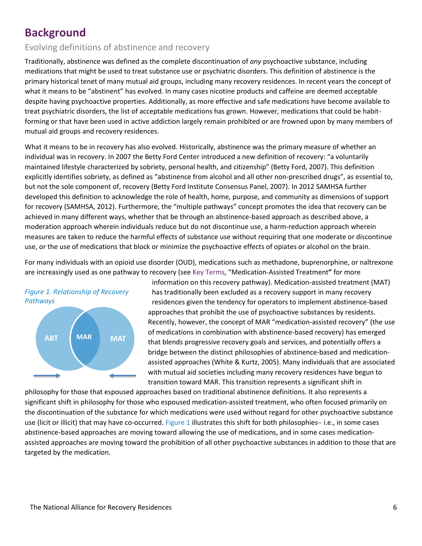# <span id="page-6-0"></span>**Background**

## <span id="page-6-1"></span>Evolving definitions of abstinence and recovery

Traditionally, abstinence was defined as the complete discontinuation of *any* psychoactive substance, including medications that might be used to treat substance use or psychiatric disorders. This definition of abstinence is the primary historical tenet of many mutual aid groups, including many recovery residences. In recent years the concept of what it means to be "abstinent" has evolved. In many cases nicotine products and caffeine are deemed acceptable despite having psychoactive properties. Additionally, as more effective and safe medications have become available to treat psychiatric disorders, the list of acceptable medications has grown. However, medications that could be habitforming or that have been used in active addiction largely remain prohibited or are frowned upon by many members of mutual aid groups and recovery residences.

What it means to be in recovery has also evolved. Historically, abstinence was the primary measure of whether an individual was in recovery. In 2007 the Betty Ford Center introduced a new definition of recovery: "a voluntarily maintained lifestyle characterized by sobriety, personal health, and citizenship" (Betty Ford, 2007). This definition explicitly identifies sobriety, as defined as "abstinence from alcohol and all other non-prescribed drugs", as essential to, but not the sole component of, recovery (Betty Ford Institute Consensus Panel, 2007). In 2012 SAMHSA further developed this definition to acknowledge the role of health, home, purpose, and community as dimensions of support for recovery (SAMHSA, 2012). Furthermore, the "multiple pathways" concept promotes the idea that recovery can be achieved in many different ways, whether that be through an abstinence-based approach as described above, a moderation approach wherein individuals reduce but do not discontinue use, a harm-reduction approach wherein measures are taken to reduce the harmful effects of substance use without requiring that one moderate or discontinue use, or the use of medications that block or minimize the psychoactive effects of opiates or alcohol on the brain.

For many individuals with an opioid use disorder (OUD), medications such as methadone, buprenorphine, or naltrexone are increasingly used as one pathway to recovery (se[e Key Terms](#page-3-0), "Medication-Assisted Treatment**"** for more

<span id="page-6-2"></span>

information on this recovery pathway). Medication-assisted treatment (MAT) has traditionally been excluded as a recovery support in many recovery residences given the tendency for operators to implement abstinence-based approaches that prohibit the use of psychoactive substances by residents. Recently, however, the concept of MAR "medication-assisted recovery" (the use of medications in combination with abstinence-based recovery) has emerged that blends progressive recovery goals and services, and potentially offers a bridge between the distinct philosophies of abstinence-based and medicationassisted approaches (White & Kurtz, 2005). Many individuals that are associated with mutual aid societies including many recovery residences have begun to transition toward MAR. This transition represents a significant shift in

philosophy for those that espoused approaches based on traditional abstinence definitions. It also represents a significant shift in philosophy for those who espoused medication-assisted treatment, who often focused primarily on the discontinuation of the substance for which medications were used without regard for other psychoactive substance use (licit or illicit) that may have co-occurred. [Figure 1](#page-6-2) illustrates this shift for both philosophies− i.e., in some cases abstinence-based approaches are moving toward allowing the use of medications, and in some cases medicationassisted approaches are moving toward the prohibition of all other psychoactive substances in addition to those that are targeted by the medication.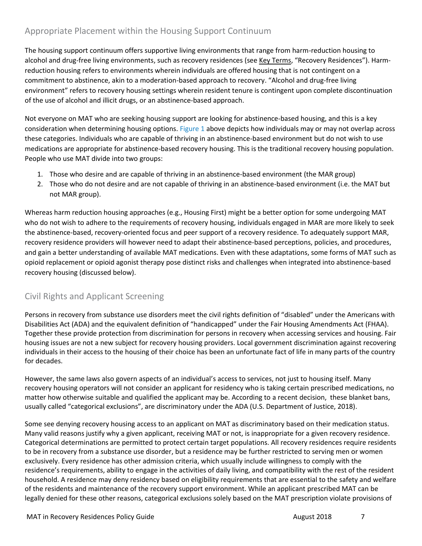## <span id="page-7-0"></span>Appropriate Placement within the Housing Support Continuum

The housing support continuum offers supportive living environments that range from harm-reduction housing to alcohol and drug-free living environments, such as recovery residences (see Key [Terms](#page-3-0), "Recovery Residences"). Harmreduction housing refers to environments wherein individuals are offered housing that is not contingent on a commitment to abstinence, akin to a moderation-based approach to recovery. "Alcohol and drug-free living environment" refers to recovery housing settings wherein resident tenure is contingent upon complete discontinuation of the use of alcohol and illicit drugs, or an abstinence-based approach.

Not everyone on MAT who are seeking housing support are looking for abstinence-based housing, and this is a key consideration when determining housing options. [Figure 1](#page-6-2) above depicts how individuals may or may not overlap across these categories. Individuals who are capable of thriving in an abstinence-based environment but do not wish to use medications are appropriate for abstinence-based recovery housing. This is the traditional recovery housing population. People who use MAT divide into two groups:

- 1. Those who desire and are capable of thriving in an abstinence-based environment (the MAR group)
- 2. Those who do not desire and are not capable of thriving in an abstinence-based environment (i.e. the MAT but not MAR group).

Whereas harm reduction housing approaches (e.g., Housing First) might be a better option for some undergoing MAT who do not wish to adhere to the requirements of recovery housing, individuals engaged in MAR are more likely to seek the abstinence-based, recovery-oriented focus and peer support of a recovery residence. To adequately support MAR, recovery residence providers will however need to adapt their abstinence-based perceptions, policies, and procedures, and gain a better understanding of available MAT medications. Even with these adaptations, some forms of MAT such as opioid replacement or opioid agonist therapy pose distinct risks and challenges when integrated into abstinence-based recovery housing (discussed below).

## <span id="page-7-1"></span>Civil Rights and Applicant Screening

Persons in recovery from substance use disorders meet the civil rights definition of "disabled" under the Americans with Disabilities Act (ADA) and the equivalent definition of "handicapped" under the Fair Housing Amendments Act (FHAA). Together these provide protection from discrimination for persons in recovery when accessing services and housing. Fair housing issues are not a new subject for recovery housing providers. Local government discrimination against recovering individuals in their access to the housing of their choice has been an unfortunate fact of life in many parts of the country for decades.

However, the same laws also govern aspects of an individual's access to services, not just to housing itself. Many recovery housing operators will not consider an applicant for residency who is taking certain prescribed medications, no matter how otherwise suitable and qualified the applicant may be. According to a recent decision, these blanket bans, usually called "categorical exclusions", are discriminatory under the ADA (U.S. Department of Justice, 2018).

Some see denying recovery housing access to an applicant on MAT as discriminatory based on their medication status. Many valid reasons justify why a given applicant, receiving MAT or not, is inappropriate for a given recovery residence. Categorical determinations are permitted to protect certain target populations. All recovery residences require residents to be in recovery from a substance use disorder, but a residence may be further restricted to serving men or women exclusively. Every residence has other admission criteria, which usually include willingness to comply with the residence's requirements, ability to engage in the activities of daily living, and compatibility with the rest of the resident household. A residence may deny residency based on eligibility requirements that are essential to the safety and welfare of the residents and maintenance of the recovery support environment. While an applicant prescribed MAT can be legally denied for these other reasons, categorical exclusions solely based on the MAT prescription violate provisions of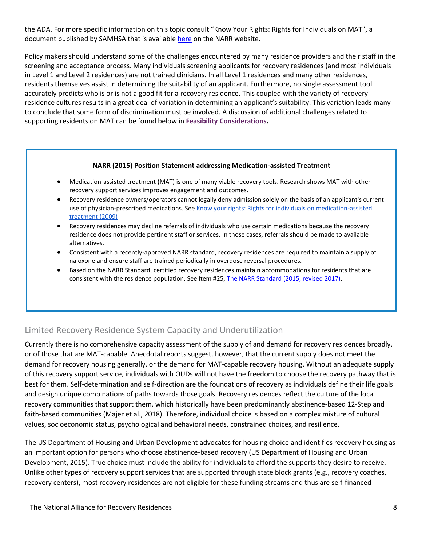the ADA. For more specific information on this topic consult "Know Your Rights: Rights for Individuals on MAT", a document published by SAMHSA that is availabl[e here](https://narronline.org/wp-content/uploads/2018/06/Know_Your_Rights_Brochure_0110.pdf) on the NARR website.

Policy makers should understand some of the challenges encountered by many residence providers and their staff in the screening and acceptance process. Many individuals screening applicants for recovery residences (and most individuals in Level 1 and Level 2 residences) are not trained clinicians. In all Level 1 residences and many other residences, residents themselves assist in determining the suitability of an applicant. Furthermore, no single assessment tool accurately predicts who is or is not a good fit for a recovery residence. This coupled with the variety of recovery residence cultures results in a great deal of variation in determining an applicant's suitability. This variation leads many to conclude that some form of discrimination must be involved. A discussion of additional challenges related to supporting residents on MAT can be found below in **[Feasibility Considerations.](#page-10-0)**

#### **NARR (2015) Position Statement addressing Medication-assisted Treatment**

- Medication-assisted treatment (MAT) is one of many viable recovery tools. Research shows MAT with other recovery support services improves engagement and outcomes.
- Recovery residence owners/operators cannot legally deny admission solely on the basis of an applicant's current use of physician-prescribed medications. See Know your rights: Rights for individuals on medication-assisted treatment (2009)
- Recovery residences may decline referrals of individuals who use certain medications because the recovery residence does not provide pertinent staff or services. In those cases, referrals should be made to available alternatives.
- Consistent with a recently-approved NARR standard, recovery residences are required to maintain a supply of naloxone and ensure staff are trained periodically in overdose reversal procedures.
- Based on the NARR Standard, certified recovery residences maintain accommodations for residents that are consistent with the residence population. See Item #25, [The NARR Standard \(2015, revised 2017\).](https://narronline.org/wp-content/uploads/2017/10/NARR_Standard_V2_rev_07-10-2017.pdf)

## <span id="page-8-0"></span>Limited Recovery Residence System Capacity and Underutilization

Currently there is no comprehensive capacity assessment of the supply of and demand for recovery residences broadly, or of those that are MAT-capable. Anecdotal reports suggest, however, that the current supply does not meet the demand for recovery housing generally, or the demand for MAT-capable recovery housing. Without an adequate supply of this recovery support service, individuals with OUDs will not have the freedom to choose the recovery pathway that is best for them. Self-determination and self-direction are the foundations of recovery as individuals define their life goals and design unique combinations of paths towards those goals. Recovery residences reflect the culture of the local recovery communities that support them, which historically have been predominantly abstinence-based 12-Step and faith-based communities (Majer et al., 2018). Therefore, individual choice is based on a complex mixture of cultural values, socioeconomic status, psychological and behavioral needs, constrained choices, and resilience.

The US Department of Housing and Urban Development advocates for housing choice and identifies recovery housing as an important option for persons who choose abstinence-based recovery (US Department of Housing and Urban Development, 2015). True choice must include the ability for individuals to afford the supports they desire to receive. Unlike other types of recovery support services that are supported through state block grants (e.g., recovery coaches, recovery centers), most recovery residences are not eligible for these funding streams and thus are self-financed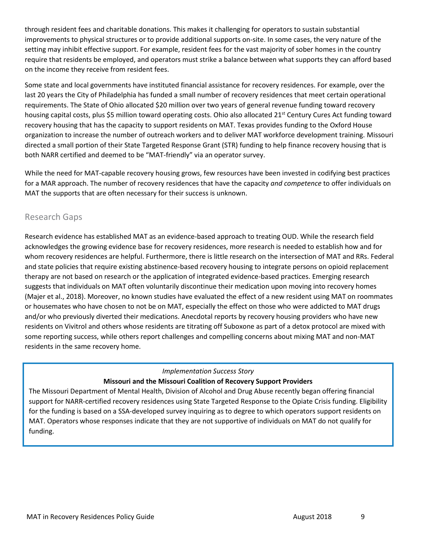through resident fees and charitable donations. This makes it challenging for operators to sustain substantial improvements to physical structures or to provide additional supports on-site. In some cases, the very nature of the setting may inhibit effective support. For example, resident fees for the vast majority of sober homes in the country require that residents be employed, and operators must strike a balance between what supports they can afford based on the income they receive from resident fees.

Some state and local governments have instituted financial assistance for recovery residences. For example, over the last 20 years the City of Philadelphia has funded a small number of recovery residences that meet certain operational requirements. The State of Ohio allocated \$20 million over two years of general revenue funding toward recovery housing capital costs, plus \$5 million toward operating costs. Ohio also allocated 21<sup>st</sup> Century Cures Act funding toward recovery housing that has the capacity to support residents on MAT. Texas provides funding to the Oxford House organization to increase the number of outreach workers and to deliver MAT workforce development training. Missouri directed a small portion of their State Targeted Response Grant (STR) funding to help finance recovery housing that is both NARR certified and deemed to be "MAT-friendly" via an operator survey.

While the need for MAT-capable recovery housing grows, few resources have been invested in codifying best practices for a MAR approach. The number of recovery residences that have the capacity *and competence* to offer individuals on MAT the supports that are often necessary for their success is unknown.

### <span id="page-9-0"></span>Research Gaps

Research evidence has established MAT as an evidence-based approach to treating OUD. While the research field acknowledges the growing evidence base for recovery residences, more research is needed to establish how and for whom recovery residences are helpful. Furthermore, there is little research on the intersection of MAT and RRs. Federal and state policies that require existing abstinence-based recovery housing to integrate persons on opioid replacement therapy are not based on research or the application of integrated evidence-based practices. Emerging research suggests that individuals on MAT often voluntarily discontinue their medication upon moving into recovery homes (Majer et al., 2018). Moreover, no known studies have evaluated the effect of a new resident using MAT on roommates or housemates who have chosen to not be on MAT, especially the effect on those who were addicted to MAT drugs and/or who previously diverted their medications. Anecdotal reports by recovery housing providers who have new residents on Vivitrol and others whose residents are titrating off Suboxone as part of a detox protocol are mixed with some reporting success, while others report challenges and compelling concerns about mixing MAT and non-MAT residents in the same recovery home.

#### *Implementation Success Story* **Missouri and the Missouri Coalition of Recovery Support Providers**

The Missouri Department of Mental Health, Division of Alcohol and Drug Abuse recently began offering financial support for NARR-certified recovery residences using State Targeted Response to the Opiate Crisis funding. Eligibility for the funding is based on a SSA-developed survey inquiring as to degree to which operators support residents on MAT. Operators whose responses indicate that they are not supportive of individuals on MAT do not qualify for funding.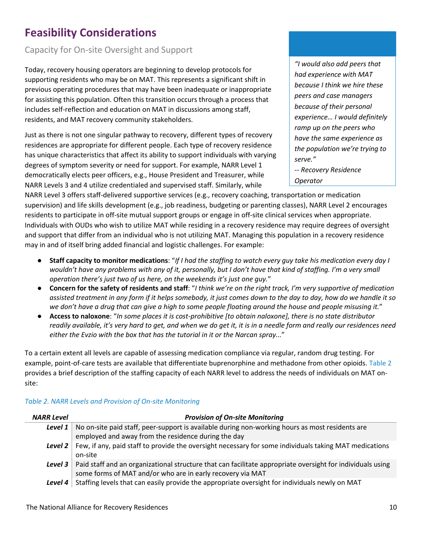# <span id="page-10-0"></span>**Feasibility Considerations**

## <span id="page-10-1"></span>Capacity for On-site Oversight and Support

Today, recovery housing operators are beginning to develop protocols for supporting residents who may be on MAT. This represents a significant shift in previous operating procedures that may have been inadequate or inappropriate for assisting this population. Often this transition occurs through a process that includes self-reflection and education on MAT in discussions among staff, residents, and MAT recovery community stakeholders.

Just as there is not one singular pathway to recovery, different types of recovery residences are appropriate for different people. Each type of recovery residence has unique characteristics that affect its ability to support individuals with varying degrees of symptom severity or need for support. For example, NARR Level 1 democratically elects peer officers, e.g., House President and Treasurer, while NARR Levels 3 and 4 utilize credentialed and supervised staff. Similarly, while

*"I would also add peers that had experience with MAT because I think we hire these peers and case managers because of their personal experience… I would definitely ramp up on the peers who have the same experience as the population we're trying to serve."* 

*-- Recovery Residence Operator*

NARR Level 3 offers staff-delivered supportive services (e.g., recovery coaching, transportation or medication supervision) and life skills development (e.g., job readiness, budgeting or parenting classes), NARR Level 2 encourages residents to participate in off-site mutual support groups or engage in off-site clinical services when appropriate. Individuals with OUDs who wish to utilize MAT while residing in a recovery residence may require degrees of oversight and support that differ from an individual who is not utilizing MAT. Managing this population in a recovery residence may in and of itself bring added financial and logistic challenges. For example:

- **Staff capacity to monitor medications**: "*If I had the staffing to watch every guy take his medication every day I*  wouldn't have any problems with any of it, personally, but I don't have that kind of staffing. I'm a very small *operation there's just two of us here, on the weekends it's just one guy.*"
- **Concern for the safety of residents and staff**: "*I think we're on the right track, I'm very supportive of medication assisted treatment in any form if it helps somebody, it just comes down to the day to day, how do we handle it so we don't have a drug that can give a high to some people floating around the house and people misusing it.*"
- **Access to naloxone**: "*In some places it is cost-prohibitive [to obtain naloxone], there is no state distributor readily available, it's very hard to get, and when we do get it, it is in a needle form and really our residences need either the Evzio with the box that has the tutorial in it or the Narcan spray...*"

To a certain extent all levels are capable of assessing medication compliance via regular, random drug testing. For example, point-of-care tests are available that differentiate buprenorphine and methadone from other opioids. [Table 2](#page-10-2) provides a brief description of the staffing capacity of each NARR level to address the needs of individuals on MAT onsite:

| <b>NARR Level</b> | <b>Provision of On-site Monitoring</b>                                                                                                                                             |
|-------------------|------------------------------------------------------------------------------------------------------------------------------------------------------------------------------------|
| Level 1           | No on-site paid staff, peer-support is available during non-working hours as most residents are<br>employed and away from the residence during the day                             |
|                   | <b>Level 2</b> Few, if any, paid staff to provide the oversight necessary for some individuals taking MAT medications<br>on-site                                                   |
|                   | Level 3   Paid staff and an organizational structure that can facilitate appropriate oversight for individuals using<br>some forms of MAT and/or who are in early recovery via MAT |
| Level 4           | Staffing levels that can easily provide the appropriate oversight for individuals newly on MAT                                                                                     |

#### <span id="page-10-2"></span>*Table 2. NARR Levels and Provision of On-site Monitoring*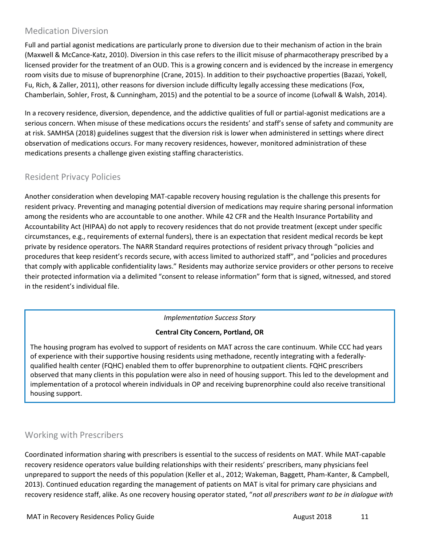## <span id="page-11-0"></span>Medication Diversion

Full and partial agonist medications are particularly prone to diversion due to their mechanism of action in the brain (Maxwell & McCance‐Katz, 2010). Diversion in this case refers to the illicit misuse of pharmacotherapy prescribed by a licensed provider for the treatment of an OUD. This is a growing concern and is evidenced by the increase in emergency room visits due to misuse of buprenorphine (Crane, 2015). In addition to their psychoactive properties (Bazazi, Yokell, Fu, Rich, & Zaller, 2011), other reasons for diversion include difficulty legally accessing these medications (Fox, Chamberlain, Sohler, Frost, & Cunningham, 2015) and the potential to be a source of income (Lofwall & Walsh, 2014).

In a recovery residence, diversion, dependence, and the addictive qualities of full or partial-agonist medications are a serious concern. When misuse of these medications occurs the residents' and staff's sense of safety and community are at risk. SAMHSA (2018) guidelines suggest that the diversion risk is lower when administered in settings where direct observation of medications occurs. For many recovery residences, however, monitored administration of these medications presents a challenge given existing staffing characteristics.

## <span id="page-11-1"></span>Resident Privacy Policies

Another consideration when developing MAT-capable recovery housing regulation is the challenge this presents for resident privacy. Preventing and managing potential diversion of medications may require sharing personal information among the residents who are accountable to one another. While 42 CFR and the Health Insurance Portability and Accountability Act (HIPAA) do not apply to recovery residences that do not provide treatment (except under specific circumstances, e.g., requirements of external funders), there is an expectation that resident medical records be kept private by residence operators. The NARR Standard requires protections of resident privacy through "policies and procedures that keep resident's records secure, with access limited to authorized staff", and "policies and procedures that comply with applicable confidentiality laws." Residents may authorize service providers or other persons to receive their protected information via a delimited "consent to release information" form that is signed, witnessed, and stored in the resident's individual file.

*Implementation Success Story*

#### **Central City Concern, Portland, OR**

The housing program has evolved to support of residents on MAT across the care continuum. While CCC had years of experience with their supportive housing residents using methadone, recently integrating with a federallyqualified health center (FQHC) enabled them to offer buprenorphine to outpatient clients. FQHC prescribers observed that many clients in this population were also in need of housing support. This led to the development and implementation of a protocol wherein individuals in OP and receiving buprenorphine could also receive transitional housing support.

## <span id="page-11-2"></span>Working with Prescribers

Coordinated information sharing with prescribers is essential to the success of residents on MAT. While MAT-capable recovery residence operators value building relationships with their residents' prescribers, many physicians feel unprepared to support the needs of this population (Keller et al., 2012; Wakeman, Baggett, Pham-Kanter, & Campbell, 2013). Continued education regarding the management of patients on MAT is vital for primary care physicians and recovery residence staff, alike. As one recovery housing operator stated, "*not all prescribers want to be in dialogue with*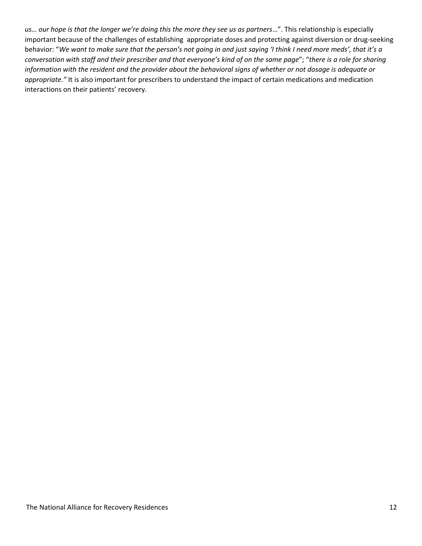*us… our hope is that the longer we're doing this the more they see us as partners*…". This relationship is especially important because of the challenges of establishing appropriate doses and protecting against diversion or drug-seeking behavior: "*We want to make sure that the person's not going in and just saying 'I think I need more meds', that it's a conversation with staff and their prescriber and that everyone's kind of on the same page*"; "*there is a role for sharing information with the resident and the provider about the behavioral signs of whether or not dosage is adequate or appropriate."* It is also important for prescribers to understand the impact of certain medications and medication interactions on their patients' recovery.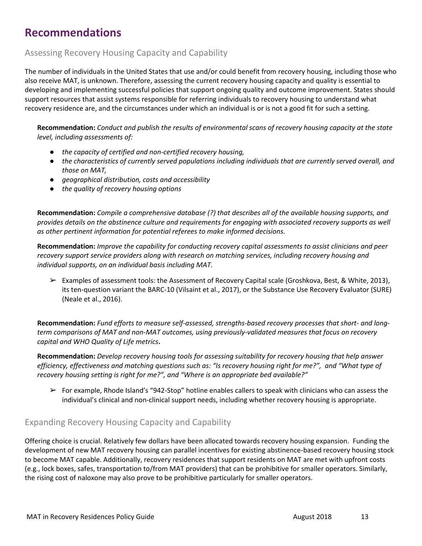# <span id="page-13-0"></span>**Recommendations**

## <span id="page-13-1"></span>Assessing Recovery Housing Capacity and Capability

The number of individuals in the United States that use and/or could benefit from recovery housing, including those who also receive MAT, is unknown. Therefore, assessing the current recovery housing capacity and quality is essential to developing and implementing successful policies that support ongoing quality and outcome improvement. States should support resources that assist systems responsible for referring individuals to recovery housing to understand what recovery residence are, and the circumstances under which an individual is or is not a good fit for such a setting.

**Recommendation:** *Conduct and publish the results of environmental scans of recovery housing capacity at the state level, including assessments of:*

- *the capacity of certified and non-certified recovery housing,*
- *the characteristics of currently served populations including individuals that are currently served overall, and those on MAT,*
- *geographical distribution, costs and accessibility*
- *the quality of recovery housing options*

**Recommendation:** *Compile a comprehensive database (?) that describes all of the available housing supports, and provides details on the abstinence culture and requirements for engaging with associated recovery supports as well as other pertinent information for potential referees to make informed decisions.*

**Recommendation:** *Improve the capability for conducting recovery capital assessments to assist clinicians and peer recovery support service providers along with research on matching services, including recovery housing and individual supports, on an individual basis including MAT.*

➢ Examples of assessment tools: the Assessment of Recovery Capital scale (Groshkova, Best, & White, 2013), its ten-question variant the BARC-10 (Vilsaint et al., 2017), or the Substance Use Recovery Evaluator (SURE) (Neale et al., 2016).

**Recommendation:** *Fund efforts to measure self-assessed, strengths-based recovery processes that short- and longterm comparisons of MAT and non-MAT outcomes, using previously-validated measures that focus on recovery capital and WHO Quality of Life metrics***.**

**Recommendation:** *Develop recovery housing tools for assessing suitability for recovery housing that help answer efficiency, effectiveness and matching questions such as: "Is recovery housing right for me?", and "What type of recovery housing setting is right for me?", and "Where is an appropriate bed available?"*

 $\triangleright$  For example, Rhode Island's "942-Stop" hotline enables callers to speak with clinicians who can assess the individual's clinical and non-clinical support needs, including whether recovery housing is appropriate.

## <span id="page-13-2"></span>Expanding Recovery Housing Capacity and Capability

Offering choice is crucial. Relatively few dollars have been allocated towards recovery housing expansion. Funding the development of new MAT recovery housing can parallel incentives for existing abstinence-based recovery housing stock to become MAT capable. Additionally, recovery residences that support residents on MAT are met with upfront costs (e.g., lock boxes, safes, transportation to/from MAT providers) that can be prohibitive for smaller operators. Similarly, the rising cost of naloxone may also prove to be prohibitive particularly for smaller operators.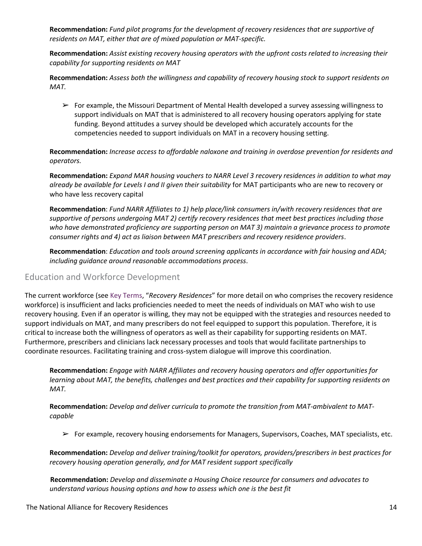**Recommendation:** *Fund pilot programs for the development of recovery residences that are supportive of residents on MAT, either that are of mixed population or MAT-specific.* 

**Recommendation:** *Assist existing recovery housing operators with the upfront costs related to increasing their capability for supporting residents on MAT*

**Recommendation:** *Assess both the willingness and capability of recovery housing stock to support residents on MAT.*

 $\triangleright$  For example, the Missouri Department of Mental Health developed a survey assessing willingness to support individuals on MAT that is administered to all recovery housing operators applying for state funding. Beyond attitudes a survey should be developed which accurately accounts for the competencies needed to support individuals on MAT in a recovery housing setting.

**Recommendation:** *Increase access to affordable naloxone and training in overdose prevention for residents and operators.*

**Recommendation:** *Expand MAR housing vouchers to NARR Level 3 recovery residences in addition to what may already be available for Levels I and II given their suitability* for MAT participants who are new to recovery or who have less recovery capital

**Recommendation**: *Fund NARR Affiliates to 1) help place/link consumers in/with recovery residences that are supportive of persons undergoing MAT 2) certify recovery residences that meet best practices including those who have demonstrated proficiency are supporting person on MAT 3) maintain a grievance process to promote consumer rights and 4) act as liaison between MAT prescribers and recovery residence providers*.

**Recommendation**: *Education and tools around screening applicants in accordance with fair housing and ADA; including guidance around reasonable accommodations process*.

#### <span id="page-14-0"></span>Education and Workforce Development

The current workforce (see [Key Terms](#page-3-0), "*Recovery Residences*" for more detail on who comprises the recovery residence workforce) is insufficient and lacks proficiencies needed to meet the needs of individuals on MAT who wish to use recovery housing. Even if an operator is willing, they may not be equipped with the strategies and resources needed to support individuals on MAT, and many prescribers do not feel equipped to support this population. Therefore, it is critical to increase both the willingness of operators as well as their capability for supporting residents on MAT. Furthermore, prescribers and clinicians lack necessary processes and tools that would facilitate partnerships to coordinate resources. Facilitating training and cross-system dialogue will improve this coordination.

**Recommendation:** *Engage with NARR Affiliates and recovery housing operators and offer opportunities for learning about MAT, the benefits, challenges and best practices and their capability for supporting residents on MAT.*

**Recommendation:** *Develop and deliver curricula to promote the transition from MAT-ambivalent to MATcapable*

 $\triangleright$  For example, recovery housing endorsements for Managers, Supervisors, Coaches, MAT specialists, etc.

**Recommendation:** *Develop and deliver training/toolkit for operators, providers/prescribers in best practices for recovery housing operation generally, and for MAT resident support specifically*

**Recommendation:** *Develop and disseminate a Housing Choice resource for consumers and advocates to understand various housing options and how to assess which one is the best fit*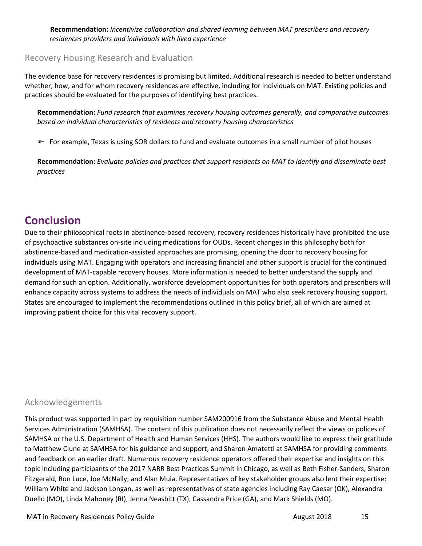**Recommendation:** *Incentivize collaboration and shared learning between MAT prescribers and recovery residences providers and individuals with lived experience*

### <span id="page-15-0"></span>Recovery Housing Research and Evaluation

The evidence base for recovery residences is promising but limited. Additional research is needed to better understand whether, how, and for whom recovery residences are effective, including for individuals on MAT. Existing policies and practices should be evaluated for the purposes of identifying best practices.

**Recommendation:** *Fund research that examines recovery housing outcomes generally, and comparative outcomes based on individual characteristics of residents and recovery housing characteristics*

 $\triangleright$  For example, Texas is using SOR dollars to fund and evaluate outcomes in a small number of pilot houses

<span id="page-15-1"></span>**Recommendation:** *Evaluate policies and practices that support residents on MAT to identify and disseminate best practices*

## **Conclusion**

Due to their philosophical roots in abstinence-based recovery, recovery residences historically have prohibited the use of psychoactive substances on-site including medications for OUDs. Recent changes in this philosophy both for abstinence-based and medication-assisted approaches are promising, opening the door to recovery housing for individuals using MAT. Engaging with operators and increasing financial and other support is crucial for the continued development of MAT-capable recovery houses. More information is needed to better understand the supply and demand for such an option. Additionally, workforce development opportunities for both operators and prescribers will enhance capacity across systems to address the needs of individuals on MAT who also seek recovery housing support. States are encouraged to implement the recommendations outlined in this policy brief, all of which are aimed at improving patient choice for this vital recovery support.

## Acknowledgements

This product was supported in part by requisition number SAM200916 from the Substance Abuse and Mental Health Services Administration (SAMHSA). The content of this publication does not necessarily reflect the views or polices of SAMHSA or the U.S. Department of Health and Human Services (HHS). The authors would like to express their gratitude to Matthew Clune at SAMHSA for his guidance and support, and Sharon Amatetti at SAMHSA for providing comments and feedback on an earlier draft. Numerous recovery residence operators offered their expertise and insights on this topic including participants of the 2017 NARR Best Practices Summit in Chicago, as well as Beth Fisher-Sanders, Sharon Fitzgerald, Ron Luce, Joe McNally, and Alan Muia. Representatives of key stakeholder groups also lent their expertise: William White and Jackson Longan, as well as representatives of state agencies including Ray Caesar (OK), Alexandra Duello (MO), Linda Mahoney (RI), Jenna Neasbitt (TX), Cassandra Price (GA), and Mark Shields (MO).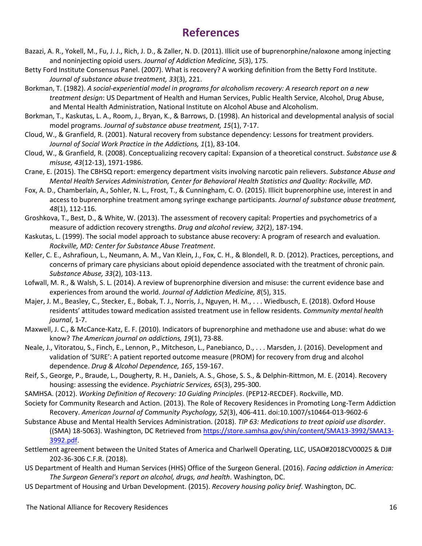## **References**

- <span id="page-16-0"></span>Bazazi, A. R., Yokell, M., Fu, J. J., Rich, J. D., & Zaller, N. D. (2011). Illicit use of buprenorphine/naloxone among injecting and noninjecting opioid users. *Journal of Addiction Medicine, 5*(3), 175.
- Betty Ford Institute Consensus Panel. (2007). What is recovery? A working definition from the Betty Ford Institute. *Journal of substance abuse treatment, 33*(3), 221.
- Borkman, T. (1982). *A social-experiential model in programs for alcoholism recovery: A research report on a new treatment design*: US Department of Health and Human Services, Public Health Service, Alcohol, Drug Abuse, and Mental Health Administration, National Institute on Alcohol Abuse and Alcoholism.
- Borkman, T., Kaskutas, L. A., Room, J., Bryan, K., & Barrows, D. (1998). An historical and developmental analysis of social model programs. *Journal of substance abuse treatment, 15*(1), 7-17.
- Cloud, W., & Granfield, R. (2001). Natural recovery from substance dependency: Lessons for treatment providers. *Journal of Social Work Practice in the Addictions, 1*(1), 83-104.
- Cloud, W., & Granfield, R. (2008). Conceptualizing recovery capital: Expansion of a theoretical construct. *Substance use & misuse, 43*(12-13), 1971-1986.
- Crane, E. (2015). The CBHSQ report: emergency department visits involving narcotic pain relievers. *Substance Abuse and Mental Health Services Administration, Center for Behavioral Health Statistics and Quality: Rockville, MD*.
- Fox, A. D., Chamberlain, A., Sohler, N. L., Frost, T., & Cunningham, C. O. (2015). Illicit buprenorphine use, interest in and access to buprenorphine treatment among syringe exchange participants. *Journal of substance abuse treatment, 48*(1), 112-116.
- Groshkova, T., Best, D., & White, W. (2013). The assessment of recovery capital: Properties and psychometrics of a measure of addiction recovery strengths. *Drug and alcohol review, 32*(2), 187-194.
- Kaskutas, L. (1999). The social model approach to substance abuse recovery: A program of research and evaluation. *Rockville, MD: Center for Substance Abuse Treatment*.
- Keller, C. E., Ashrafioun, L., Neumann, A. M., Van Klein, J., Fox, C. H., & Blondell, R. D. (2012). Practices, perceptions, and concerns of primary care physicians about opioid dependence associated with the treatment of chronic pain. *Substance Abuse, 33*(2), 103-113.
- Lofwall, M. R., & Walsh, S. L. (2014). A review of buprenorphine diversion and misuse: the current evidence base and experiences from around the world. *Journal of Addiction Medicine, 8*(5), 315.
- Majer, J. M., Beasley, C., Stecker, E., Bobak, T. J., Norris, J., Nguyen, H. M., . . . Wiedbusch, E. (2018). Oxford House residents' attitudes toward medication assisted treatment use in fellow residents. *Community mental health journal*, 1-7.
- Maxwell, J. C., & McCance‐Katz, E. F. (2010). Indicators of buprenorphine and methadone use and abuse: what do we know? *The American journal on addictions, 19*(1), 73-88.
- Neale, J., Vitoratou, S., Finch, E., Lennon, P., Mitcheson, L., Panebianco, D., . . . Marsden, J. (2016). Development and validation of 'SURE': A patient reported outcome measure (PROM) for recovery from drug and alcohol dependence. *Drug & Alcohol Dependence, 165*, 159-167.
- Reif, S., George, P., Braude, L., Dougherty, R. H., Daniels, A. S., Ghose, S. S., & Delphin-Rittmon, M. E. (2014). Recovery housing: assessing the evidence. *Psychiatric Services, 65*(3), 295-300.
- SAMHSA. (2012). *Working Definition of Recovery: 10 Guiding Principles*. (PEP12-RECDEF). Rockville, MD.
- Society for Community Research and Action. (2013). The Role of Recovery Residences in Promoting Long-Term Addiction Recovery. *American Journal of Community Psychology, 52*(3), 406-411. doi:10.1007/s10464-013-9602-6
- Substance Abuse and Mental Health Services Administration. (2018). *TIP 63: Medications to treat opioid use disorder*. ((SMA) 18-5063). Washington, DC Retrieved from [https://store.samhsa.gov/shin/content/SMA13-3992/SMA13-](https://store.samhsa.gov/shin/content/SMA13-3992/SMA13-3992.pdf) [3992.pdf.](https://store.samhsa.gov/shin/content/SMA13-3992/SMA13-3992.pdf)
- Settlement agreement between the United States of America and Charlwell Operating, LLC, USAO#2018CV00025 & DJ# 202-36-306 C.F.R. (2018).
- US Department of Health and Human Services (HHS) Office of the Surgeon General. (2016). *Facing addiction in America: The Surgeon General's report on alcohol, drugs, and health*. Washington, DC.
- US Department of Housing and Urban Development. (2015). *Recovery housing policy brief*. Washington, DC.